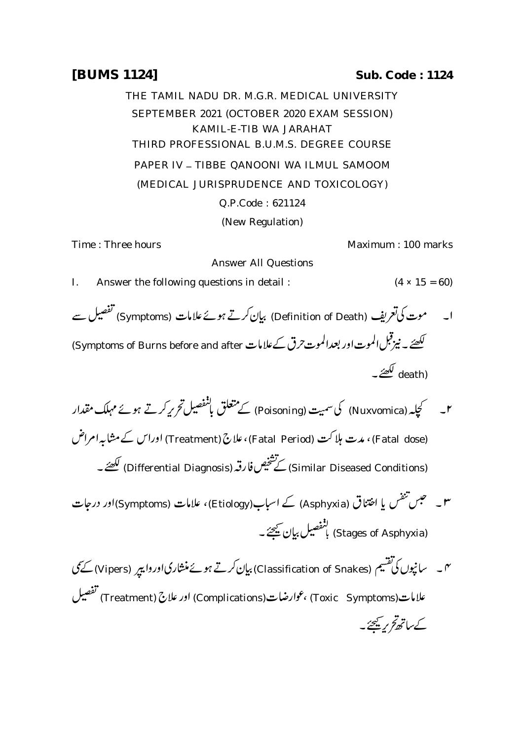## **[BUMS 1124] Sub. Code : 1124**

THE TAMIL NADU DR. M.G.R. MEDICAL UNIVERSITY SEPTEMBER 2021 (OCTOBER 2020 EXAM SESSION) KAMIL-E-TIB WA JARAHAT THIRD PROFESSIONAL B.U.M.S. DEGREE COURSE PAPER IV - TIBBE QANOONI WA ILMUL SAMOOM (MEDICAL JURISPRUDENCE AND TOXICOLOGY) Q.P.Code : 621124 (New Regulation)

Time : Three hours Maximum : 100 marks

Answer All Questions

I. Answer the following questions in detail :  $(4 \times 15 = 60)$ 

- ا۔ موت کی تعریف (Definition of Death) بیان کرتے ہوئےعلامات (Symptoms) تفصیل سے لکھیئے ۔ نیزقبل الموت اور بعدالموت حرق کےعلامات Symptoms of Burns before and after) (death) لکھیے ۔
- ۲۔ کچلہ (Nuxvomica) کی سمیت (Poisoning) کے متعلق بانفصیل تحریر کرتے ہوئے مہلک مقدار (Fatal dose) ، مدت ہلاکت (Fatal Period) ،علاج (Treatment) اوراس کے مشابہ امراض (Similar Diseased Conditions) كَتَشْخِيص فارقه (Differential Diagnosis) لَكْضَهَــ
- اختناق (Asphyxia) کے اسباب(Etiology)، علامات (Symptoms)اور درجات **سو ہے تھیں** شفس یا ا لنفصيل بيان نيھجے ۔<br>(Stages of Asphyxia) باتفصيل بيان نيھجے ۔
- ہم۔ سانپوں کی تقسیم (Classification of Snakes) بیان کرتے ہوئے منشارکیاوروا پیر (Vipers) کے نمی علامات(Toxic Symptoms) ،عوارضات(Complications) اور علاج (Treatment) تفصيل کےساتھ کر پچھڑے